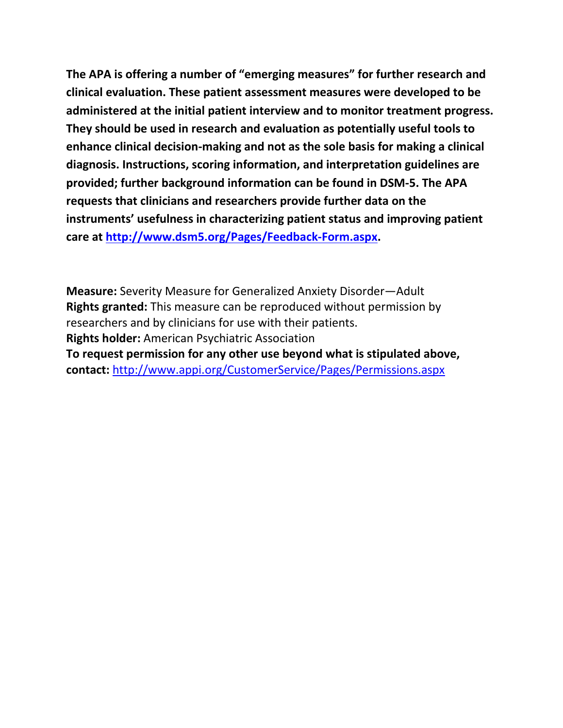**The APA is offering a number of "emerging measures" for further research and clinical evaluation. These patient assessment measures were developed to be administered at the initial patient interview and to monitor treatment progress. They should be used in research and evaluation as potentially useful tools to enhance clinical decision-making and not as the sole basis for making a clinical diagnosis. Instructions, scoring information, and interpretation guidelines are provided; further background information can be found in DSM-5. The APA requests that clinicians and researchers provide further data on the instruments' usefulness in characterizing patient status and improving patient care at [http://www.dsm5.org/Pages/Feedback-Form.aspx.](http://www.dsm5.org/Pages/Feedback-Form.aspx)**

**Measure:** Severity Measure for Generalized Anxiety Disorder—Adult **Rights granted:** This measure can be reproduced without permission by researchers and by clinicians for use with their patients. **Rights holder:** American Psychiatric Association **To request permission for any other use beyond what is stipulated above, contact:** <http://www.appi.org/CustomerService/Pages/Permissions.aspx>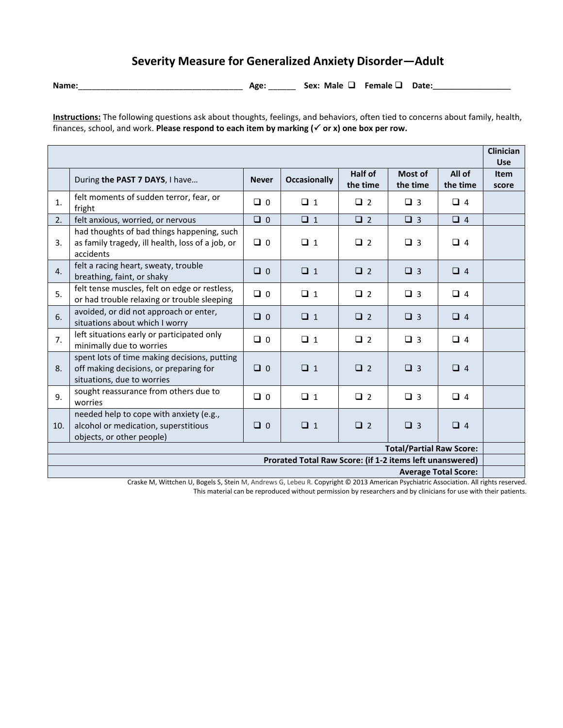## **Severity Measure for Generalized Anxiety Disorder—Adult**

**Name:**\_\_\_\_\_\_\_\_\_\_\_\_\_\_\_\_\_\_\_\_\_\_\_\_\_\_\_\_\_\_\_\_\_\_\_\_ **Age:** \_\_\_\_\_\_ **Sex: Male Female Date:\_\_\_\_\_\_\_\_\_\_\_\_\_\_\_\_\_**

**Instructions:** The following questions ask about thoughts, feelings, and behaviors, often tied to concerns about family, health, finances, school, and work. **Please respond to each item by marking (** $\checkmark$  **or x) one box per row.** 

|                                                                                                                                                                                                       |                                                                                                                      |              |                     |                            |                     |                    | <b>Clinician</b><br><b>Use</b> |
|-------------------------------------------------------------------------------------------------------------------------------------------------------------------------------------------------------|----------------------------------------------------------------------------------------------------------------------|--------------|---------------------|----------------------------|---------------------|--------------------|--------------------------------|
|                                                                                                                                                                                                       | During the PAST 7 DAYS, I have                                                                                       | <b>Never</b> | <b>Occasionally</b> | <b>Half of</b><br>the time | Most of<br>the time | All of<br>the time | <b>Item</b><br>score           |
| 1.                                                                                                                                                                                                    | felt moments of sudden terror, fear, or<br>fright                                                                    | $\Box$ 0     | $\Box$ 1            | $\Box$ 2                   | $\Box$ 3            | $\Box$ 4           |                                |
| 2.                                                                                                                                                                                                    | felt anxious, worried, or nervous                                                                                    | $\Box$ 0     | $\Box$ 1            | $\Box$ 2                   | $\Box$ 3            | $\Box$ 4           |                                |
| 3.                                                                                                                                                                                                    | had thoughts of bad things happening, such<br>as family tragedy, ill health, loss of a job, or<br>accidents          | $\Box$ 0     | $\Box$ 1            | $\Box$ 2                   | $\Box$ 3            | $\Box$ 4           |                                |
| 4.                                                                                                                                                                                                    | felt a racing heart, sweaty, trouble<br>breathing, faint, or shaky                                                   | $\Box$ 0     | $\Box$ 1            | $\Box$ 2                   | $\Box$ 3            | $\Box$ 4           |                                |
| 5.                                                                                                                                                                                                    | felt tense muscles, felt on edge or restless,<br>or had trouble relaxing or trouble sleeping                         | $\Box$ 0     | $\Box$ 1            | $\Box$ 2                   | $\Box$ 3            | $\Box$ 4           |                                |
| 6.                                                                                                                                                                                                    | avoided, or did not approach or enter,<br>situations about which I worry                                             | $\Box$ 0     | $\Box$ 1            | $\Box$ 2                   | $\Box$ 3            | $\Box$ 4           |                                |
| 7.                                                                                                                                                                                                    | left situations early or participated only<br>minimally due to worries                                               | $\Box$ 0     | $\Box$ 1            | $\Box$ 2                   | $\Box$ 3            | $\Box$ 4           |                                |
| 8.                                                                                                                                                                                                    | spent lots of time making decisions, putting<br>off making decisions, or preparing for<br>situations, due to worries | $\Box$ 0     | $\Box$ 1            | $\Box$ 2                   | $\Box$ 3            | $\Box$ 4           |                                |
| 9.                                                                                                                                                                                                    | sought reassurance from others due to<br>worries                                                                     | $\Box$ 0     | $\Box$ 1            | $\Box$ 2                   | $\Box$ 3            | $\Box$ 4           |                                |
| 10.                                                                                                                                                                                                   | needed help to cope with anxiety (e.g.,<br>alcohol or medication, superstitious<br>objects, or other people)         | $\Box$ 0     | $\Box$ 1            | $\Box$ 2                   | $\Box$ 3            | $\Box$ 4           |                                |
| <b>Total/Partial Raw Score:</b>                                                                                                                                                                       |                                                                                                                      |              |                     |                            |                     |                    |                                |
| Prorated Total Raw Score: (if 1-2 items left unanswered)                                                                                                                                              |                                                                                                                      |              |                     |                            |                     |                    |                                |
| <b>Average Total Score:</b><br>$\alpha$ and a bitter to the product of $\alpha$ and $\alpha$ and $\alpha$ is the product of $\alpha$ and $\alpha$ and $\alpha$ and $\alpha$ and $\alpha$ and $\alpha$ |                                                                                                                      |              |                     |                            |                     |                    |                                |

Craske M, Wittchen U, Bogels S, Stein M, Andrews G, Lebeu R. Copyright © 2013 American Psychiatric Association. All rights reserved. This material can be reproduced without permission by researchers and by clinicians for use with their patients.